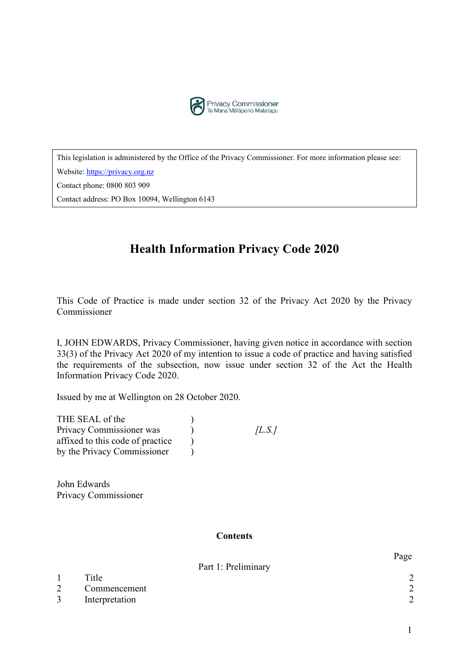

This legislation is administered by the Office of the Privacy Commissioner. For more information please see:

Website: [https://privacy.org.nz](https://privacy.org.nz/)

Contact phone: 0800 803 909

Contact address: PO Box 10094, Wellington 6143

# **Health Information Privacy Code 2020**

This Code of Practice is made under section 32 of the Privacy Act 2020 by the Privacy Commissioner

I, JOHN EDWARDS, Privacy Commissioner, having given notice in accordance with section 33(3) of the Privacy Act 2020 of my intention to issue a code of practice and having satisfied the requirements of the subsection, now issue under section 32 of the Act the Health Information Privacy Code 2020.

Issued by me at Wellington on 28 October 2020.

| THE SEAL of the                  |      |
|----------------------------------|------|
| Privacy Commissioner was         | L.S. |
| affixed to this code of practice |      |
| by the Privacy Commissioner      |      |

John Edwards Privacy Commissioner

#### **Contents**

Part 1: Preliminary

|                | Title          | $\sim$ |
|----------------|----------------|--------|
| $\overline{2}$ | Commencement   | ⌒      |
| $\mathfrak{Z}$ | Interpretation | $\sim$ |

Page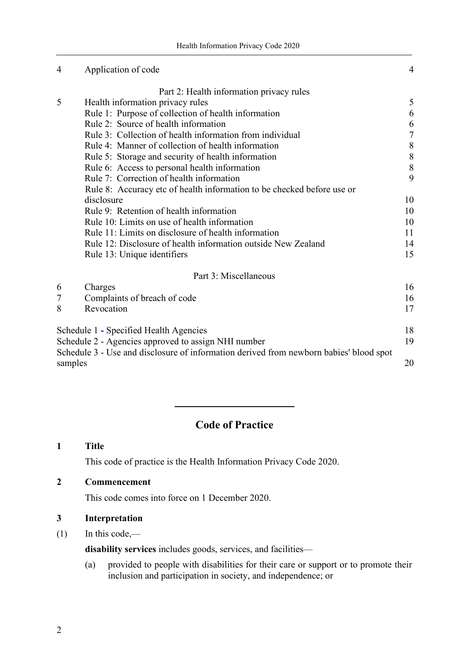| 4       | Application of code                                                                    | 4              |
|---------|----------------------------------------------------------------------------------------|----------------|
|         | Part 2: Health information privacy rules                                               |                |
| 5       | Health information privacy rules                                                       | 5              |
|         | Rule 1: Purpose of collection of health information                                    | 6              |
|         | Rule 2: Source of health information                                                   | 6              |
|         | Rule 3: Collection of health information from individual                               | $\overline{7}$ |
|         | Rule 4: Manner of collection of health information                                     | 8              |
|         | Rule 5: Storage and security of health information                                     | 8              |
|         | Rule 6: Access to personal health information                                          | 8              |
|         | Rule 7: Correction of health information                                               | 9              |
|         | Rule 8: Accuracy etc of health information to be checked before use or                 |                |
|         | disclosure                                                                             | 10             |
|         | Rule 9: Retention of health information                                                | 10             |
|         | Rule 10: Limits on use of health information                                           | 10             |
|         | Rule 11: Limits on disclosure of health information                                    | 11             |
|         | Rule 12: Disclosure of health information outside New Zealand                          | 14             |
|         | Rule 13: Unique identifiers                                                            | 15             |
|         | Part 3: Miscellaneous                                                                  |                |
| 6       | Charges                                                                                | 16             |
| 7       | Complaints of breach of code                                                           | 16             |
| 8       | Revocation                                                                             | 17             |
|         | Schedule 1 - Specified Health Agencies                                                 | 18             |
|         | Schedule 2 - Agencies approved to assign NHI number                                    |                |
| samples | Schedule 3 - Use and disclosure of information derived from newborn babies' blood spot | 19<br>20       |

## **Code of Practice**

<span id="page-1-0"></span>**1 Title**

This code of practice is the Health Information Privacy Code 2020.

## <span id="page-1-1"></span>**2 Commencement**

This code comes into force on 1 December 2020.

#### <span id="page-1-2"></span>**3 Interpretation**

 $(1)$  In this code,—

**disability services** includes goods, services, and facilities—

(a) provided to people with disabilities for their care or support or to promote their inclusion and participation in society, and independence; or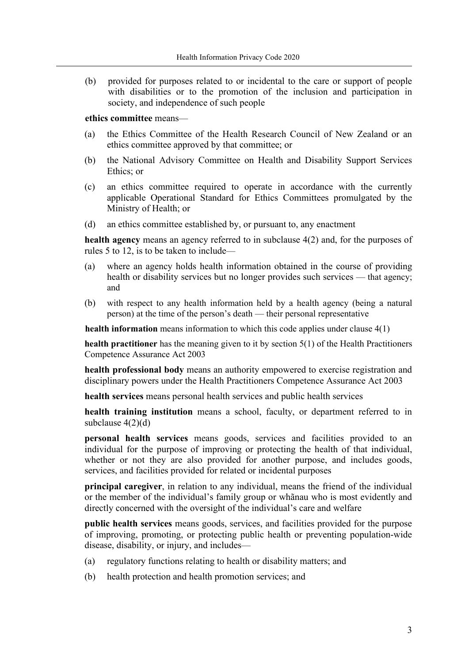(b) provided for purposes related to or incidental to the care or support of people with disabilities or to the promotion of the inclusion and participation in society, and independence of such people

#### **ethics committee** means—

- (a) the Ethics Committee of the Health Research Council of New Zealand or an ethics committee approved by that committee; or
- (b) the National Advisory Committee on Health and Disability Support Services Ethics; or
- (c) an ethics committee required to operate in accordance with the currently applicable Operational Standard for Ethics Committees promulgated by the Ministry of Health; or
- (d) an ethics committee established by, or pursuant to, any enactment

**health agency** means an agency referred to in subclause 4(2) and, for the purposes of rules 5 to 12, is to be taken to include—

- (a) where an agency holds health information obtained in the course of providing health or disability services but no longer provides such services — that agency; and
- (b) with respect to any health information held by a health agency (being a natural person) at the time of the person's death — their personal representative

**health information** means information to which this code applies under clause 4(1)

**health practitioner** has the meaning given to it by section 5(1) of the Health Practitioners Competence Assurance Act 2003

**health professional body** means an authority empowered to exercise registration and disciplinary powers under the Health Practitioners Competence Assurance Act 2003

**health services** means personal health services and public health services

**health training institution** means a school, faculty, or department referred to in subclause  $4(2)(d)$ 

**personal health services** means goods, services and facilities provided to an individual for the purpose of improving or protecting the health of that individual, whether or not they are also provided for another purpose, and includes goods, services, and facilities provided for related or incidental purposes

**principal caregiver**, in relation to any individual, means the friend of the individual or the member of the individual's family group or whãnau who is most evidently and directly concerned with the oversight of the individual's care and welfare

**public health services** means goods, services, and facilities provided for the purpose of improving, promoting, or protecting public health or preventing population-wide disease, disability, or injury, and includes—

- (a) regulatory functions relating to health or disability matters; and
- (b) health protection and health promotion services; and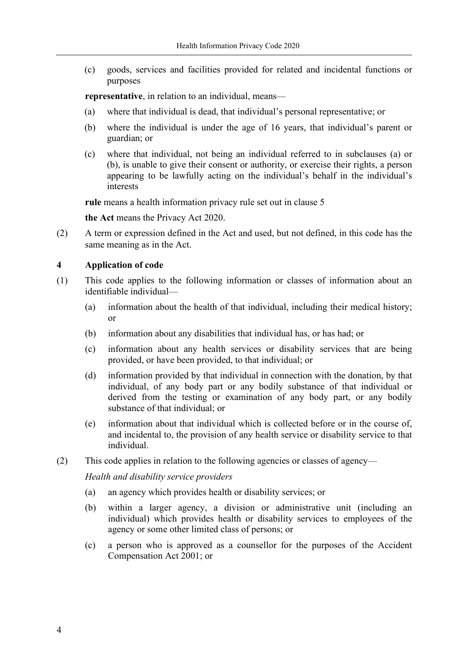(c) goods, services and facilities provided for related and incidental functions or purposes

**representative**, in relation to an individual, means—

- (a) where that individual is dead, that individual's personal representative; or
- (b) where the individual is under the age of 16 years, that individual's parent or guardian; or
- (c) where that individual, not being an individual referred to in subclauses (a) or (b), is unable to give their consent or authority, or exercise their rights, a person appearing to be lawfully acting on the individual's behalf in the individual's interests

**rule** means a health information privacy rule set out in clause 5

**the Act** means the Privacy Act 2020.

(2) A term or expression defined in the Act and used, but not defined, in this code has the same meaning as in the Act.

#### **4 Application of code**

- (1) This code applies to the following information or classes of information about an identifiable individual—
	- (a) information about the health of that individual, including their medical history; or
	- (b) information about any disabilities that individual has, or has had; or
	- (c) information about any health services or disability services that are being provided, or have been provided, to that individual; or
	- (d) information provided by that individual in connection with the donation, by that individual, of any body part or any bodily substance of that individual or derived from the testing or examination of any body part, or any bodily substance of that individual; or
	- (e) information about that individual which is collected before or in the course of, and incidental to, the provision of any health service or disability service to that individual.
- (2) This code applies in relation to the following agencies or classes of agency—

*Health and disability service providers*

- (a) an agency which provides health or disability services; or
- (b) within a larger agency, a division or administrative unit (including an individual) which provides health or disability services to employees of the agency or some other limited class of persons; or
- (c) a person who is approved as a counsellor for the purposes of the Accident Compensation Act 2001; or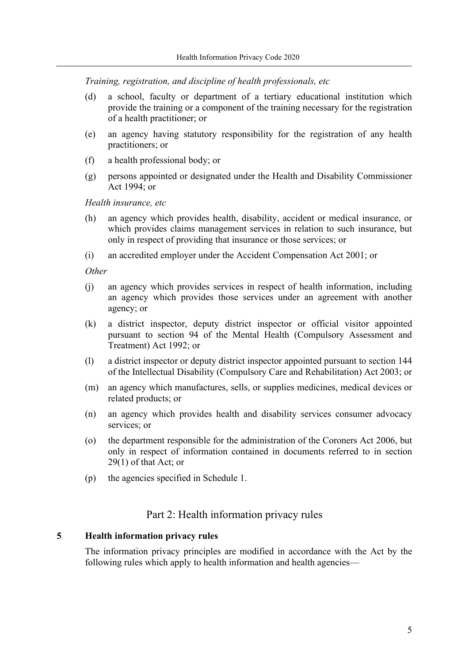*Training, registration, and discipline of health professionals, etc*

- (d) a school, faculty or department of a tertiary educational institution which provide the training or a component of the training necessary for the registration of a health practitioner; or
- (e) an agency having statutory responsibility for the registration of any health practitioners; or
- (f) a health professional body; or
- (g) persons appointed or designated under the Health and Disability Commissioner Act 1994; or

*Health insurance, etc*

- (h) an agency which provides health, disability, accident or medical insurance, or which provides claims management services in relation to such insurance, but only in respect of providing that insurance or those services; or
- (i) an accredited employer under the Accident Compensation Act 2001; or

*Other*

- (j) an agency which provides services in respect of health information, including an agency which provides those services under an agreement with another agency; or
- (k) a district inspector, deputy district inspector or official visitor appointed pursuant to section 94 of the Mental Health (Compulsory Assessment and Treatment) Act 1992; or
- (l) a district inspector or deputy district inspector appointed pursuant to section 144 of the Intellectual Disability (Compulsory Care and Rehabilitation) Act 2003; or
- (m) an agency which manufactures, sells, or supplies medicines, medical devices or related products; or
- (n) an agency which provides health and disability services consumer advocacy services; or
- (o) the department responsible for the administration of the Coroners Act 2006, but only in respect of information contained in documents referred to in section 29(1) of that Act; or
- (p) the agencies specified in Schedule 1.

#### Part 2: Health information privacy rules

#### **5 Health information privacy rules**

The information privacy principles are modified in accordance with the Act by the following rules which apply to health information and health agencies—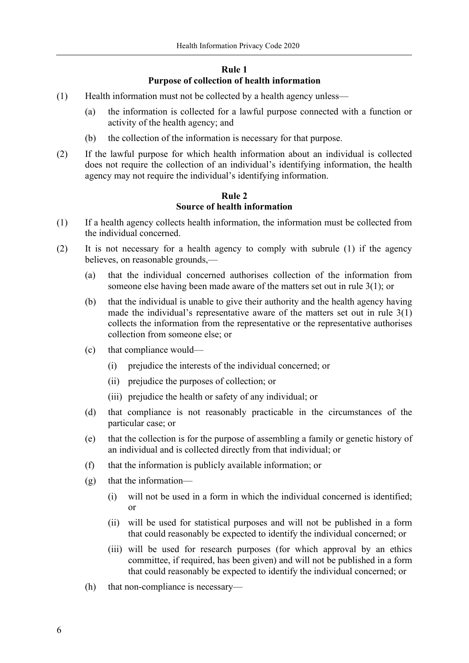### **Rule 1 Purpose of collection of health information**

- (1) Health information must not be collected by a health agency unless—
	- (a) the information is collected for a lawful purpose connected with a function or activity of the health agency; and
	- (b) the collection of the information is necessary for that purpose.
- (2) If the lawful purpose for which health information about an individual is collected does not require the collection of an individual's identifying information, the health agency may not require the individual's identifying information.

#### **Rule 2 Source of health information**

- (1) If a health agency collects health information, the information must be collected from the individual concerned.
- (2) It is not necessary for a health agency to comply with subrule (1) if the agency believes, on reasonable grounds,—
	- (a) that the individual concerned authorises collection of the information from someone else having been made aware of the matters set out in rule 3(1); or
	- (b) that the individual is unable to give their authority and the health agency having made the individual's representative aware of the matters set out in rule 3(1) collects the information from the representative or the representative authorises collection from someone else; or
	- (c) that compliance would—
		- (i) prejudice the interests of the individual concerned; or
		- (ii) prejudice the purposes of collection; or
		- (iii) prejudice the health or safety of any individual; or
	- (d) that compliance is not reasonably practicable in the circumstances of the particular case; or
	- (e) that the collection is for the purpose of assembling a family or genetic history of an individual and is collected directly from that individual; or
	- (f) that the information is publicly available information; or
	- (g) that the information—
		- (i) will not be used in a form in which the individual concerned is identified; or
		- (ii) will be used for statistical purposes and will not be published in a form that could reasonably be expected to identify the individual concerned; or
		- (iii) will be used for research purposes (for which approval by an ethics committee, if required, has been given) and will not be published in a form that could reasonably be expected to identify the individual concerned; or
	- (h) that non-compliance is necessary—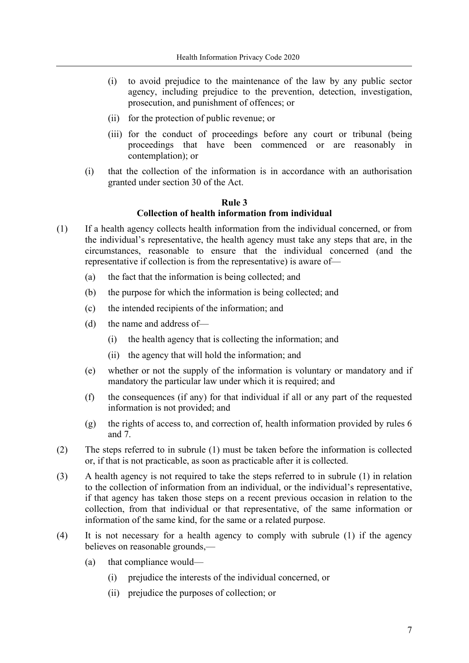- (i) to avoid prejudice to the maintenance of the law by any public sector agency, including prejudice to the prevention, detection, investigation, prosecution, and punishment of offences; or
- (ii) for the protection of public revenue; or
- (iii) for the conduct of proceedings before any court or tribunal (being proceedings that have been commenced or are reasonably in contemplation); or
- (i) that the collection of the information is in accordance with an authorisation granted under section 30 of the Act.

#### **Rule 3**

#### **Collection of health information from individual**

- (1) If a health agency collects health information from the individual concerned, or from the individual's representative, the health agency must take any steps that are, in the circumstances, reasonable to ensure that the individual concerned (and the representative if collection is from the representative) is aware of—
	- (a) the fact that the information is being collected; and
	- (b) the purpose for which the information is being collected; and
	- (c) the intended recipients of the information; and
	- (d) the name and address of—
		- (i) the health agency that is collecting the information; and
		- (ii) the agency that will hold the information; and
	- (e) whether or not the supply of the information is voluntary or mandatory and if mandatory the particular law under which it is required; and
	- (f) the consequences (if any) for that individual if all or any part of the requested information is not provided; and
	- (g) the rights of access to, and correction of, health information provided by rules 6 and 7.
- (2) The steps referred to in subrule (1) must be taken before the information is collected or, if that is not practicable, as soon as practicable after it is collected.
- (3) A health agency is not required to take the steps referred to in subrule (1) in relation to the collection of information from an individual, or the individual's representative, if that agency has taken those steps on a recent previous occasion in relation to the collection, from that individual or that representative, of the same information or information of the same kind, for the same or a related purpose.
- (4) It is not necessary for a health agency to comply with subrule (1) if the agency believes on reasonable grounds,—
	- (a) that compliance would—
		- (i) prejudice the interests of the individual concerned, or
		- (ii) prejudice the purposes of collection; or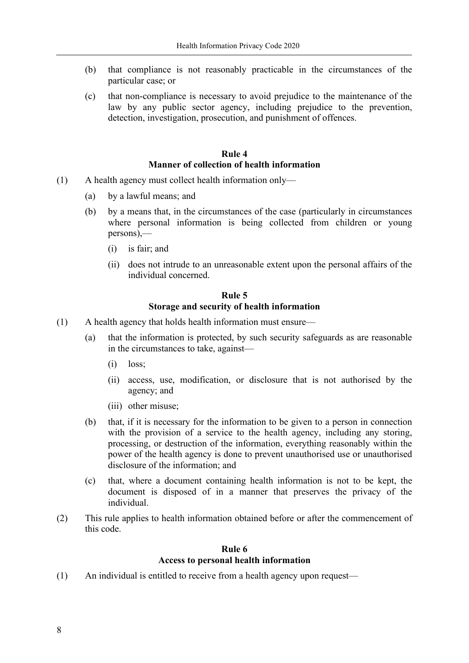- (b) that compliance is not reasonably practicable in the circumstances of the particular case; or
- (c) that non-compliance is necessary to avoid prejudice to the maintenance of the law by any public sector agency, including prejudice to the prevention, detection, investigation, prosecution, and punishment of offences.

#### **Rule 4 Manner of collection of health information**

- (1) A health agency must collect health information only—
	- (a) by a lawful means; and
	- (b) by a means that, in the circumstances of the case (particularly in circumstances where personal information is being collected from children or young persons),—
		- (i) is fair; and
		- (ii) does not intrude to an unreasonable extent upon the personal affairs of the individual concerned.

#### **Rule 5 Storage and security of health information**

- (1) A health agency that holds health information must ensure—
	- (a) that the information is protected, by such security safeguards as are reasonable in the circumstances to take, against—
		- (i) loss;
		- (ii) access, use, modification, or disclosure that is not authorised by the agency; and
		- (iii) other misuse;
	- (b) that, if it is necessary for the information to be given to a person in connection with the provision of a service to the health agency, including any storing, processing, or destruction of the information, everything reasonably within the power of the health agency is done to prevent unauthorised use or unauthorised disclosure of the information; and
	- (c) that, where a document containing health information is not to be kept, the document is disposed of in a manner that preserves the privacy of the individual.
- (2) This rule applies to health information obtained before or after the commencement of this code.

#### **Rule 6 Access to personal health information**

(1) An individual is entitled to receive from a health agency upon request—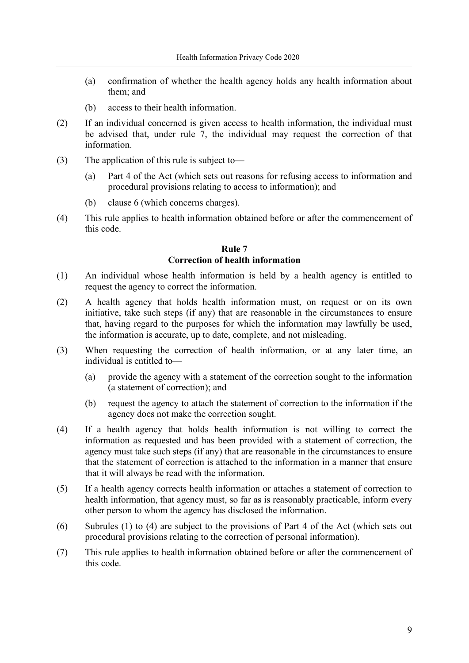- (a) confirmation of whether the health agency holds any health information about them; and
- (b) access to their health information.
- (2) If an individual concerned is given access to health information, the individual must be advised that, under rule 7, the individual may request the correction of that information.
- (3) The application of this rule is subject to—
	- (a) Part 4 of the Act (which sets out reasons for refusing access to information and procedural provisions relating to access to information); and
	- (b) clause 6 (which concerns charges).
- (4) This rule applies to health information obtained before or after the commencement of this code.

#### **Rule 7 Correction of health information**

- (1) An individual whose health information is held by a health agency is entitled to request the agency to correct the information.
- (2) A health agency that holds health information must, on request or on its own initiative, take such steps (if any) that are reasonable in the circumstances to ensure that, having regard to the purposes for which the information may lawfully be used, the information is accurate, up to date, complete, and not misleading.
- (3) When requesting the correction of health information, or at any later time, an individual is entitled to—
	- (a) provide the agency with a statement of the correction sought to the information (a statement of correction); and
	- (b) request the agency to attach the statement of correction to the information if the agency does not make the correction sought.
- (4) If a health agency that holds health information is not willing to correct the information as requested and has been provided with a statement of correction, the agency must take such steps (if any) that are reasonable in the circumstances to ensure that the statement of correction is attached to the information in a manner that ensure that it will always be read with the information.
- (5) If a health agency corrects health information or attaches a statement of correction to health information, that agency must, so far as is reasonably practicable, inform every other person to whom the agency has disclosed the information.
- (6) Subrules (1) to (4) are subject to the provisions of Part 4 of the Act (which sets out procedural provisions relating to the correction of personal information).
- (7) This rule applies to health information obtained before or after the commencement of this code.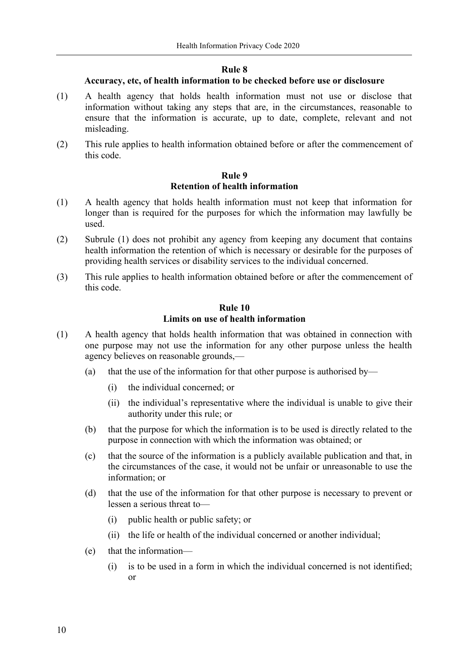#### **Rule 8**

#### **Accuracy, etc, of health information to be checked before use or disclosure**

- (1) A health agency that holds health information must not use or disclose that information without taking any steps that are, in the circumstances, reasonable to ensure that the information is accurate, up to date, complete, relevant and not misleading.
- (2) This rule applies to health information obtained before or after the commencement of this code.

#### **Rule 9 Retention of health information**

- (1) A health agency that holds health information must not keep that information for longer than is required for the purposes for which the information may lawfully be used.
- (2) Subrule (1) does not prohibit any agency from keeping any document that contains health information the retention of which is necessary or desirable for the purposes of providing health services or disability services to the individual concerned.
- (3) This rule applies to health information obtained before or after the commencement of this code.

### **Rule 10 Limits on use of health information**

- (1) A health agency that holds health information that was obtained in connection with one purpose may not use the information for any other purpose unless the health agency believes on reasonable grounds,—
	- (a) that the use of the information for that other purpose is authorised by—
		- (i) the individual concerned; or
		- (ii) the individual's representative where the individual is unable to give their authority under this rule; or
	- (b) that the purpose for which the information is to be used is directly related to the purpose in connection with which the information was obtained; or
	- (c) that the source of the information is a publicly available publication and that, in the circumstances of the case, it would not be unfair or unreasonable to use the information; or
	- (d) that the use of the information for that other purpose is necessary to prevent or lessen a serious threat to—
		- (i) public health or public safety; or
		- (ii) the life or health of the individual concerned or another individual;
	- (e) that the information—
		- (i) is to be used in a form in which the individual concerned is not identified; or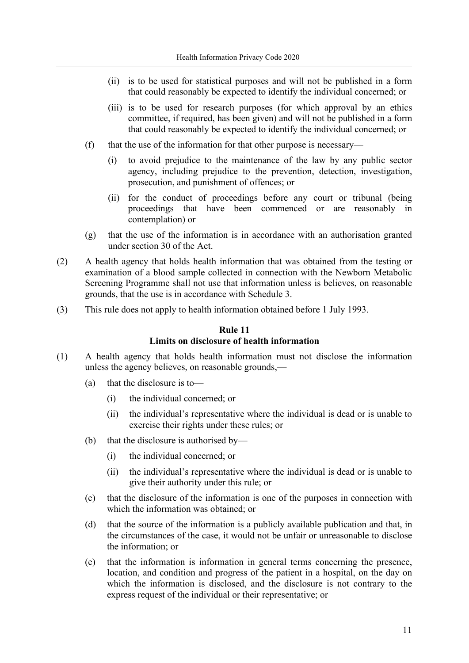- (ii) is to be used for statistical purposes and will not be published in a form that could reasonably be expected to identify the individual concerned; or
- (iii) is to be used for research purposes (for which approval by an ethics committee, if required, has been given) and will not be published in a form that could reasonably be expected to identify the individual concerned; or
- (f) that the use of the information for that other purpose is necessary—
	- (i) to avoid prejudice to the maintenance of the law by any public sector agency, including prejudice to the prevention, detection, investigation, prosecution, and punishment of offences; or
	- (ii) for the conduct of proceedings before any court or tribunal (being proceedings that have been commenced or are reasonably in contemplation) or
- (g) that the use of the information is in accordance with an authorisation granted under section 30 of the Act.
- (2) A health agency that holds health information that was obtained from the testing or examination of a blood sample collected in connection with the Newborn Metabolic Screening Programme shall not use that information unless is believes, on reasonable grounds, that the use is in accordance with Schedule 3.
- (3) This rule does not apply to health information obtained before 1 July 1993.

#### **Rule 11 Limits on disclosure of health information**

- (1) A health agency that holds health information must not disclose the information unless the agency believes, on reasonable grounds,—
	- (a) that the disclosure is to—
		- (i) the individual concerned; or
		- (ii) the individual's representative where the individual is dead or is unable to exercise their rights under these rules; or
	- (b) that the disclosure is authorised by—
		- (i) the individual concerned; or
			- (ii) the individual's representative where the individual is dead or is unable to give their authority under this rule; or
	- (c) that the disclosure of the information is one of the purposes in connection with which the information was obtained; or
	- (d) that the source of the information is a publicly available publication and that, in the circumstances of the case, it would not be unfair or unreasonable to disclose the information; or
	- (e) that the information is information in general terms concerning the presence, location, and condition and progress of the patient in a hospital, on the day on which the information is disclosed, and the disclosure is not contrary to the express request of the individual or their representative; or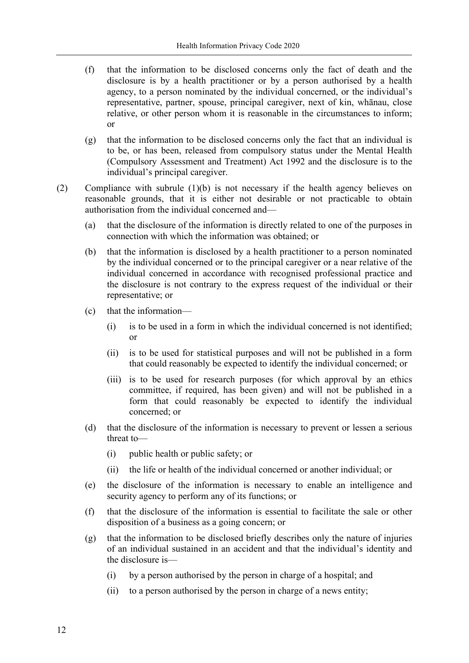- (f) that the information to be disclosed concerns only the fact of death and the disclosure is by a health practitioner or by a person authorised by a health agency, to a person nominated by the individual concerned, or the individual's representative, partner, spouse, principal caregiver, next of kin, whānau, close relative, or other person whom it is reasonable in the circumstances to inform; or
- (g) that the information to be disclosed concerns only the fact that an individual is to be, or has been, released from compulsory status under the Mental Health (Compulsory Assessment and Treatment) Act 1992 and the disclosure is to the individual's principal caregiver.
- (2) Compliance with subrule (1)(b) is not necessary if the health agency believes on reasonable grounds, that it is either not desirable or not practicable to obtain authorisation from the individual concerned and—
	- (a) that the disclosure of the information is directly related to one of the purposes in connection with which the information was obtained; or
	- (b) that the information is disclosed by a health practitioner to a person nominated by the individual concerned or to the principal caregiver or a near relative of the individual concerned in accordance with recognised professional practice and the disclosure is not contrary to the express request of the individual or their representative; or
	- (c) that the information—
		- (i) is to be used in a form in which the individual concerned is not identified; or
		- (ii) is to be used for statistical purposes and will not be published in a form that could reasonably be expected to identify the individual concerned; or
		- (iii) is to be used for research purposes (for which approval by an ethics committee, if required, has been given) and will not be published in a form that could reasonably be expected to identify the individual concerned; or
	- (d) that the disclosure of the information is necessary to prevent or lessen a serious threat to—
		- (i) public health or public safety; or
		- (ii) the life or health of the individual concerned or another individual; or
	- (e) the disclosure of the information is necessary to enable an intelligence and security agency to perform any of its functions; or
	- (f) that the disclosure of the information is essential to facilitate the sale or other disposition of a business as a going concern; or
	- (g) that the information to be disclosed briefly describes only the nature of injuries of an individual sustained in an accident and that the individual's identity and the disclosure is—
		- (i) by a person authorised by the person in charge of a hospital; and
		- (ii) to a person authorised by the person in charge of a news entity;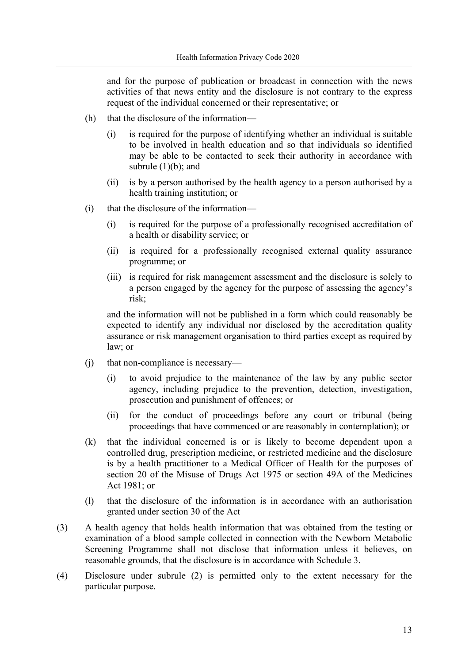and for the purpose of publication or broadcast in connection with the news activities of that news entity and the disclosure is not contrary to the express request of the individual concerned or their representative; or

- (h) that the disclosure of the information—
	- (i) is required for the purpose of identifying whether an individual is suitable to be involved in health education and so that individuals so identified may be able to be contacted to seek their authority in accordance with subrule  $(1)(b)$ ; and
	- (ii) is by a person authorised by the health agency to a person authorised by a health training institution; or
- (i) that the disclosure of the information—
	- (i) is required for the purpose of a professionally recognised accreditation of a health or disability service; or
	- (ii) is required for a professionally recognised external quality assurance programme; or
	- (iii) is required for risk management assessment and the disclosure is solely to a person engaged by the agency for the purpose of assessing the agency's risk;

and the information will not be published in a form which could reasonably be expected to identify any individual nor disclosed by the accreditation quality assurance or risk management organisation to third parties except as required by law; or

- (j) that non-compliance is necessary—
	- (i) to avoid prejudice to the maintenance of the law by any public sector agency, including prejudice to the prevention, detection, investigation, prosecution and punishment of offences; or
	- (ii) for the conduct of proceedings before any court or tribunal (being proceedings that have commenced or are reasonably in contemplation); or
- (k) that the individual concerned is or is likely to become dependent upon a controlled drug, prescription medicine, or restricted medicine and the disclosure is by a health practitioner to a Medical Officer of Health for the purposes of section 20 of the Misuse of Drugs Act 1975 or section 49A of the Medicines Act 1981; or
- (l) that the disclosure of the information is in accordance with an authorisation granted under section 30 of the Act
- (3) A health agency that holds health information that was obtained from the testing or examination of a blood sample collected in connection with the Newborn Metabolic Screening Programme shall not disclose that information unless it believes, on reasonable grounds, that the disclosure is in accordance with Schedule 3.
- (4) Disclosure under subrule (2) is permitted only to the extent necessary for the particular purpose.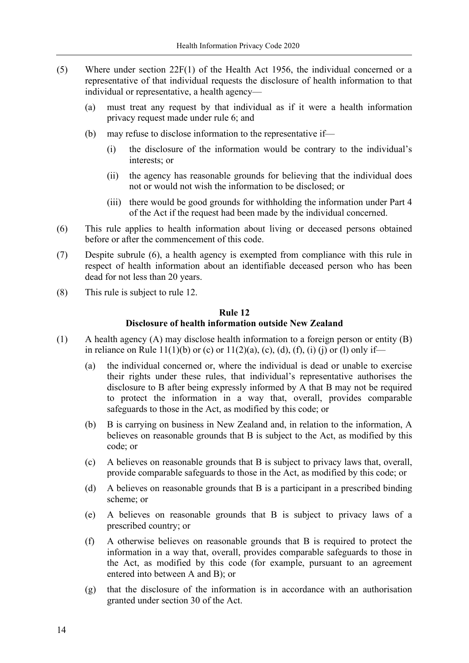- (5) Where under section 22F(1) of the Health Act 1956, the individual concerned or a representative of that individual requests the disclosure of health information to that individual or representative, a health agency—
	- (a) must treat any request by that individual as if it were a health information privacy request made under rule 6; and
	- (b) may refuse to disclose information to the representative if—
		- (i) the disclosure of the information would be contrary to the individual's interests; or
		- (ii) the agency has reasonable grounds for believing that the individual does not or would not wish the information to be disclosed; or
		- (iii) there would be good grounds for withholding the information under Part 4 of the Act if the request had been made by the individual concerned.
- (6) This rule applies to health information about living or deceased persons obtained before or after the commencement of this code.
- (7) Despite subrule (6), a health agency is exempted from compliance with this rule in respect of health information about an identifiable deceased person who has been dead for not less than 20 years.
- (8) This rule is subject to rule 12.

#### **Rule 12**

#### **Disclosure of health information outside New Zealand**

- (1) A health agency (A) may disclose health information to a foreign person or entity (B) in reliance on Rule 11(1)(b) or (c) or  $11(2)(a)$ , (c), (d), (f), (i) (j) or (l) only if—
	- (a) the individual concerned or, where the individual is dead or unable to exercise their rights under these rules, that individual's representative authorises the disclosure to B after being expressly informed by A that B may not be required to protect the information in a way that, overall, provides comparable safeguards to those in the Act, as modified by this code; or
	- (b) B is carrying on business in New Zealand and, in relation to the information, A believes on reasonable grounds that B is subject to the Act, as modified by this code; or
	- (c) A believes on reasonable grounds that B is subject to privacy laws that, overall, provide comparable safeguards to those in the Act, as modified by this code; or
	- (d) A believes on reasonable grounds that B is a participant in a prescribed binding scheme; or
	- (e) A believes on reasonable grounds that B is subject to privacy laws of a prescribed country; or
	- (f) A otherwise believes on reasonable grounds that B is required to protect the information in a way that, overall, provides comparable safeguards to those in the Act, as modified by this code (for example, pursuant to an agreement entered into between A and B); or
	- (g) that the disclosure of the information is in accordance with an authorisation granted under section 30 of the Act.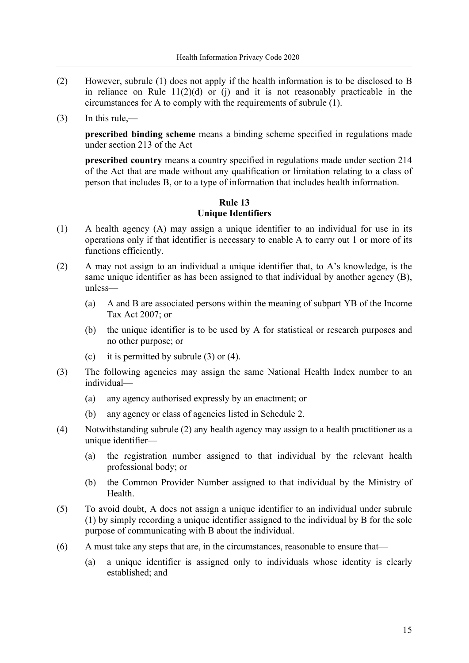- (2) However, subrule (1) does not apply if the health information is to be disclosed to B in reliance on Rule  $11(2)(d)$  or (j) and it is not reasonably practicable in the circumstances for A to comply with the requirements of subrule (1).
- $(3)$  In this rule,—

**prescribed binding scheme** means a binding scheme specified in regulations made under section 213 of the Act

**prescribed country** means a country specified in regulations made under section 214 of the Act that are made without any qualification or limitation relating to a class of person that includes B, or to a type of information that includes health information.

### **Rule 13 Unique Identifiers**

- (1) A health agency (A) may assign a unique identifier to an individual for use in its operations only if that identifier is necessary to enable A to carry out 1 or more of its functions efficiently.
- (2) A may not assign to an individual a unique identifier that, to A's knowledge, is the same unique identifier as has been assigned to that individual by another agency (B), unless—
	- (a) A and B are associated persons within the meaning of subpart YB of the Income Tax Act 2007; or
	- (b) the unique identifier is to be used by A for statistical or research purposes and no other purpose; or
	- (c) it is permitted by subrule  $(3)$  or  $(4)$ .
- (3) The following agencies may assign the same National Health Index number to an individual—
	- (a) any agency authorised expressly by an enactment; or
	- (b) any agency or class of agencies listed in Schedule 2.
- (4) Notwithstanding subrule (2) any health agency may assign to a health practitioner as a unique identifier—
	- (a) the registration number assigned to that individual by the relevant health professional body; or
	- (b) the Common Provider Number assigned to that individual by the Ministry of Health.
- (5) To avoid doubt, A does not assign a unique identifier to an individual under subrule (1) by simply recording a unique identifier assigned to the individual by B for the sole purpose of communicating with B about the individual.
- (6) A must take any steps that are, in the circumstances, reasonable to ensure that—
	- (a) a unique identifier is assigned only to individuals whose identity is clearly established; and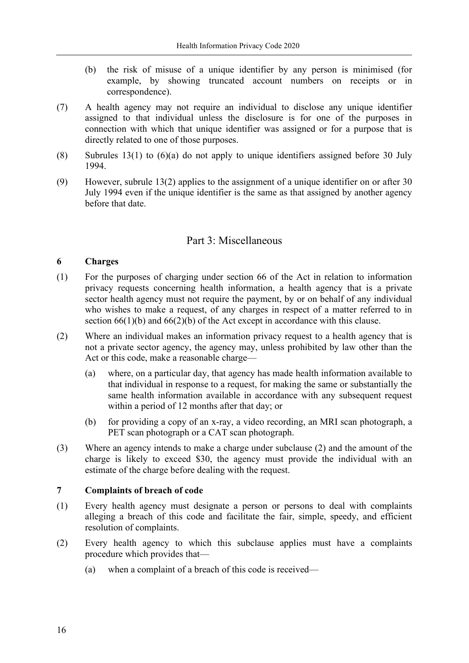- (b) the risk of misuse of a unique identifier by any person is minimised (for example, by showing truncated account numbers on receipts or in correspondence).
- (7) A health agency may not require an individual to disclose any unique identifier assigned to that individual unless the disclosure is for one of the purposes in connection with which that unique identifier was assigned or for a purpose that is directly related to one of those purposes.
- (8) Subrules 13(1) to  $(6)(a)$  do not apply to unique identifiers assigned before 30 July 1994.
- (9) However, subrule 13(2) applies to the assignment of a unique identifier on or after 30 July 1994 even if the unique identifier is the same as that assigned by another agency before that date.

### Part 3: Miscellaneous

#### **6 Charges**

- (1) For the purposes of charging under section 66 of the Act in relation to information privacy requests concerning health information, a health agency that is a private sector health agency must not require the payment, by or on behalf of any individual who wishes to make a request, of any charges in respect of a matter referred to in section  $66(1)(b)$  and  $66(2)(b)$  of the Act except in accordance with this clause.
- (2) Where an individual makes an information privacy request to a health agency that is not a private sector agency, the agency may, unless prohibited by law other than the Act or this code, make a reasonable charge—
	- (a) where, on a particular day, that agency has made health information available to that individual in response to a request, for making the same or substantially the same health information available in accordance with any subsequent request within a period of 12 months after that day; or
	- (b) for providing a copy of an x-ray, a video recording, an MRI scan photograph, a PET scan photograph or a CAT scan photograph.
- (3) Where an agency intends to make a charge under subclause (2) and the amount of the charge is likely to exceed \$30, the agency must provide the individual with an estimate of the charge before dealing with the request.

#### **7 Complaints of breach of code**

- (1) Every health agency must designate a person or persons to deal with complaints alleging a breach of this code and facilitate the fair, simple, speedy, and efficient resolution of complaints.
- (2) Every health agency to which this subclause applies must have a complaints procedure which provides that—
	- (a) when a complaint of a breach of this code is received—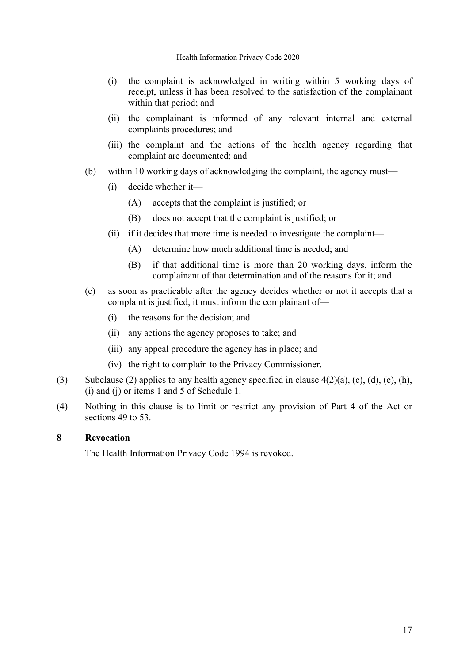- (i) the complaint is acknowledged in writing within 5 working days of receipt, unless it has been resolved to the satisfaction of the complainant within that period; and
- (ii) the complainant is informed of any relevant internal and external complaints procedures; and
- (iii) the complaint and the actions of the health agency regarding that complaint are documented; and
- (b) within 10 working days of acknowledging the complaint, the agency must—
	- (i) decide whether it—
		- (A) accepts that the complaint is justified; or
		- (B) does not accept that the complaint is justified; or
	- (ii) if it decides that more time is needed to investigate the complaint—
		- (A) determine how much additional time is needed; and
		- (B) if that additional time is more than 20 working days, inform the complainant of that determination and of the reasons for it; and
- (c) as soon as practicable after the agency decides whether or not it accepts that a complaint is justified, it must inform the complainant of—
	- (i) the reasons for the decision; and
	- (ii) any actions the agency proposes to take; and
	- (iii) any appeal procedure the agency has in place; and
	- (iv) the right to complain to the Privacy Commissioner.
- (3) Subclause (2) applies to any health agency specified in clause  $4(2)(a)$ , (c), (d), (e), (h), (i) and (j) or items 1 and 5 of Schedule 1.
- (4) Nothing in this clause is to limit or restrict any provision of Part 4 of the Act or sections 49 to 53.

#### **8 Revocation**

The Health Information Privacy Code 1994 is revoked.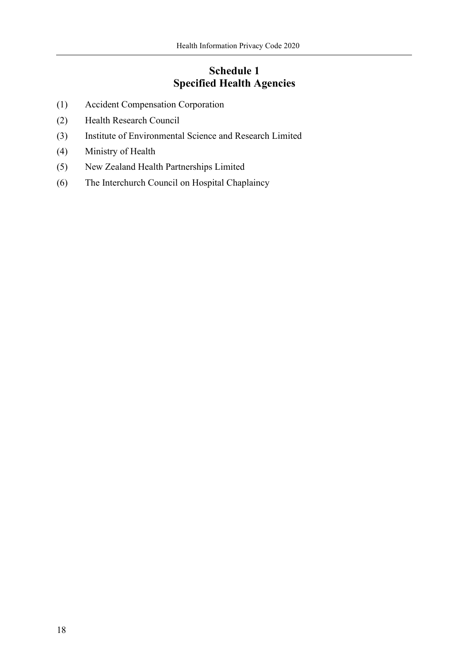## <span id="page-17-0"></span>**Schedule 1 Specified Health Agencies**

- (1) Accident Compensation Corporation
- (2) Health Research Council
- (3) Institute of Environmental Science and Research Limited
- (4) Ministry of Health
- (5) New Zealand Health Partnerships Limited
- (6) The Interchurch Council on Hospital Chaplaincy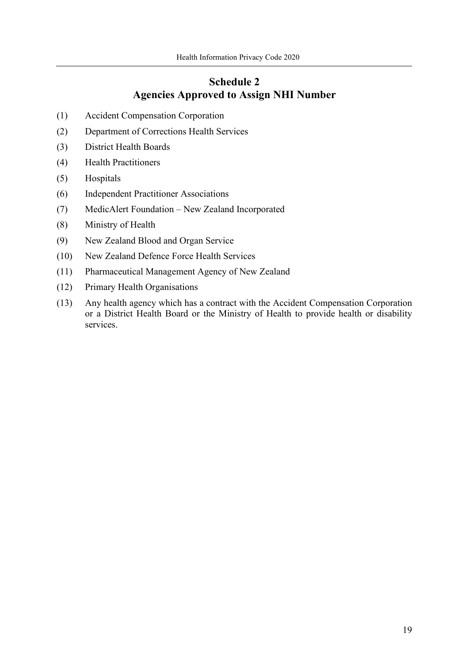## **Schedule 2 Agencies Approved to Assign NHI Number**

- (1) Accident Compensation Corporation
- (2) Department of Corrections Health Services
- (3) District Health Boards
- (4) Health Practitioners
- (5) Hospitals
- (6) Independent Practitioner Associations
- (7) MedicAlert Foundation New Zealand Incorporated
- (8) Ministry of Health
- (9) New Zealand Blood and Organ Service
- (10) New Zealand Defence Force Health Services
- (11) Pharmaceutical Management Agency of New Zealand
- (12) Primary Health Organisations
- (13) Any health agency which has a contract with the Accident Compensation Corporation or a District Health Board or the Ministry of Health to provide health or disability services.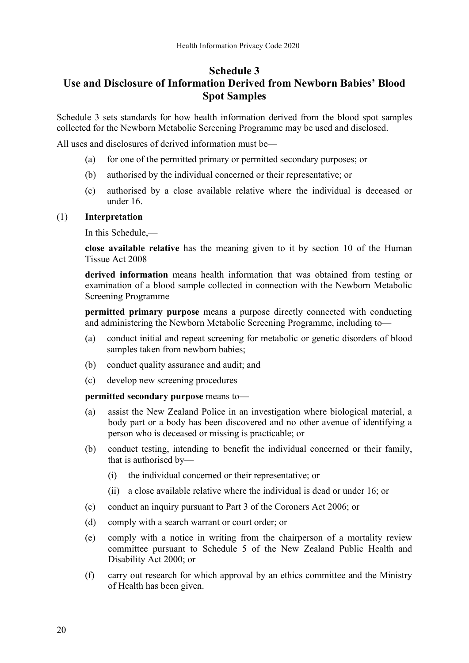### **Schedule 3**

## **Use and Disclosure of Information Derived from Newborn Babies' Blood Spot Samples**

Schedule 3 sets standards for how health information derived from the blood spot samples collected for the Newborn Metabolic Screening Programme may be used and disclosed.

All uses and disclosures of derived information must be—

- (a) for one of the permitted primary or permitted secondary purposes; or
- (b) authorised by the individual concerned or their representative; or
- (c) authorised by a close available relative where the individual is deceased or under 16.

#### (1) **Interpretation**

In this Schedule,—

**close available relative** has the meaning given to it by section 10 of the Human Tissue Act 2008

**derived information** means health information that was obtained from testing or examination of a blood sample collected in connection with the Newborn Metabolic Screening Programme

**permitted primary purpose** means a purpose directly connected with conducting and administering the Newborn Metabolic Screening Programme, including to—

- (a) conduct initial and repeat screening for metabolic or genetic disorders of blood samples taken from newborn babies;
- (b) conduct quality assurance and audit; and
- (c) develop new screening procedures

#### **permitted secondary purpose** means to—

- (a) assist the New Zealand Police in an investigation where biological material, a body part or a body has been discovered and no other avenue of identifying a person who is deceased or missing is practicable; or
- (b) conduct testing, intending to benefit the individual concerned or their family, that is authorised by—
	- (i) the individual concerned or their representative; or
	- (ii) a close available relative where the individual is dead or under 16; or
- (c) conduct an inquiry pursuant to Part 3 of the Coroners Act 2006; or
- (d) comply with a search warrant or court order; or
- (e) comply with a notice in writing from the chairperson of a mortality review committee pursuant to Schedule 5 of the New Zealand Public Health and Disability Act 2000; or
- (f) carry out research for which approval by an ethics committee and the Ministry of Health has been given.